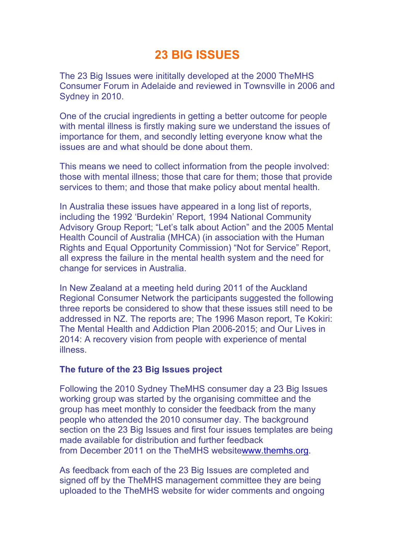## **23 BIG ISSUES**

The 23 Big Issues were inititally developed at the 2000 TheMHS Consumer Forum in Adelaide and reviewed in Townsville in 2006 and Sydney in 2010.

One of the crucial ingredients in getting a better outcome for people with mental illness is firstly making sure we understand the issues of importance for them, and secondly letting everyone know what the issues are and what should be done about them.

This means we need to collect information from the people involved: those with mental illness; those that care for them; those that provide services to them; and those that make policy about mental health.

In Australia these issues have appeared in a long list of reports, including the 1992 'Burdekin' Report, 1994 National Community Advisory Group Report; "Let's talk about Action" and the 2005 Mental Health Council of Australia (MHCA) (in association with the Human Rights and Equal Opportunity Commission) "Not for Service" Report, all express the failure in the mental health system and the need for change for services in Australia.

In New Zealand at a meeting held during 2011 of the Auckland Regional Consumer Network the participants suggested the following three reports be considered to show that these issues still need to be addressed in NZ. The reports are; The 1996 Mason report, Te Kokiri: The Mental Health and Addiction Plan 2006-2015; and Our Lives in 2014: A recovery vision from people with experience of mental illness.

## **The future of the 23 Big Issues project**

Following the 2010 Sydney TheMHS consumer day a 23 Big Issues working group was started by the organising committee and the group has meet monthly to consider the feedback from the many people who attended the 2010 consumer day. The background section on the 23 Big Issues and first four issues templates are being made available for distribution and further feedback from December 2011 on the TheMHS websitewww.themhs.org.

As feedback from each of the 23 Big Issues are completed and signed off by the TheMHS management committee they are being uploaded to the TheMHS website for wider comments and ongoing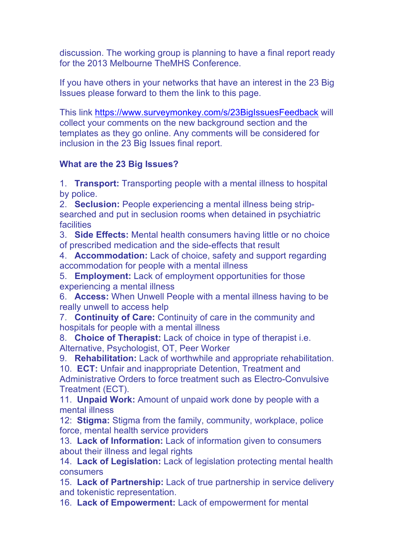discussion. The working group is planning to have a final report ready for the 2013 Melbourne TheMHS Conference.

If you have others in your networks that have an interest in the 23 Big Issues please forward to them the link to this page.

This link https://www.surveymonkey.com/s/23BigIssuesFeedback will collect your comments on the new background section and the templates as they go online. Any comments will be considered for inclusion in the 23 Big Issues final report.

## **What are the 23 Big Issues?**

1. **Transport:** Transporting people with a mental illness to hospital by police.

2. **Seclusion:** People experiencing a mental illness being stripsearched and put in seclusion rooms when detained in psychiatric **facilities** 

3. **Side Effects:** Mental health consumers having little or no choice of prescribed medication and the side-effects that result

4. **Accommodation:** Lack of choice, safety and support regarding accommodation for people with a mental illness

5. **Employment:** Lack of employment opportunities for those experiencing a mental illness

6. **Access:** When Unwell People with a mental illness having to be really unwell to access help

7. **Continuity of Care:** Continuity of care in the community and hospitals for people with a mental illness

8. **Choice of Therapist:** Lack of choice in type of therapist i.e. Alternative, Psychologist, OT, Peer Worker

9. **Rehabilitation:** Lack of worthwhile and appropriate rehabilitation. 10. **ECT:** Unfair and inappropriate Detention, Treatment and Administrative Orders to force treatment such as Electro-Convulsive Treatment (ECT).

11. **Unpaid Work:** Amount of unpaid work done by people with a mental illness

12: **Stigma:** Stigma from the family, community, workplace, police force, mental health service providers

13. **Lack of Information:** Lack of information given to consumers about their illness and legal rights

14. **Lack of Legislation:** Lack of legislation protecting mental health consumers

15. **Lack of Partnership:** Lack of true partnership in service delivery and tokenistic representation.

16. **Lack of Empowerment:** Lack of empowerment for mental